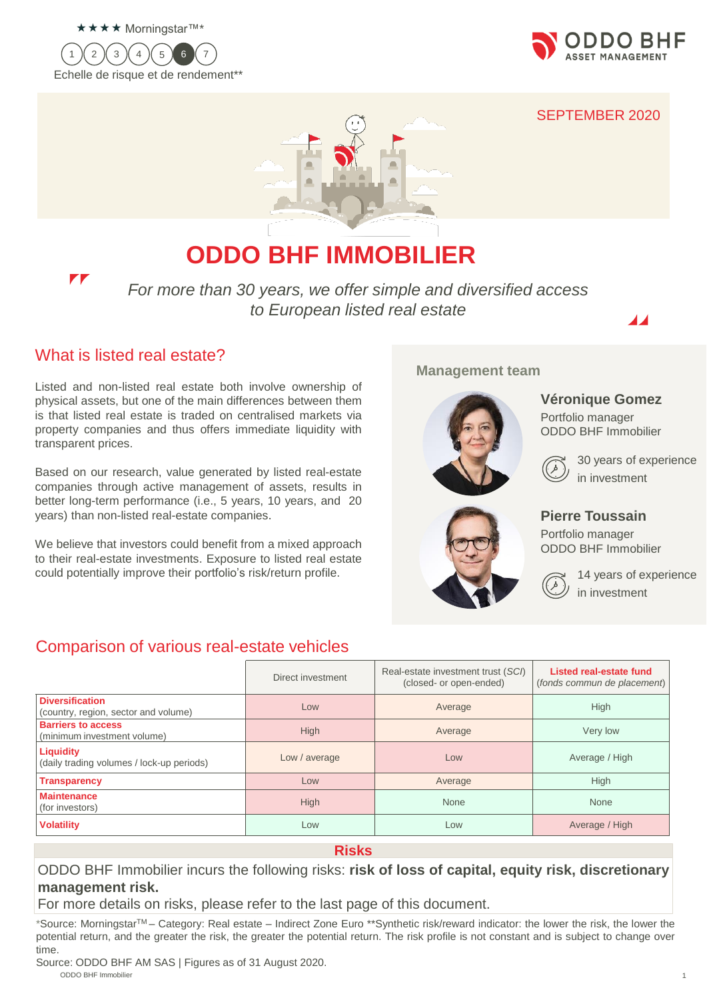









# **ODDO BHF IMMOBILIER**

*For more than 30 years, we offer simple and diversified access to European listed real estate*



30 years of experience

14 years of experience

**Véronique Gomez** Portfolio manager ODDO BHF Immobilier

**Management team**

in investment

in investment

**Pierre Toussain** Portfolio manager ODDO BHF Immobilier

### What is listed real estate?

 $\mathbf{r}$ 

Listed and non-listed real estate both involve ownership of physical assets, but one of the main differences between them is that listed real estate is traded on centralised markets via property companies and thus offers immediate liquidity with transparent prices.

Based on our research, value generated by listed real-estate companies through active management of assets, results in better long-term performance (i.e., 5 years, 10 years, and 20 years) than non-listed real-estate companies.

We believe that investors could benefit from a mixed approach to their real-estate investments. Exposure to listed real estate could potentially improve their portfolio's risk/return profile.

### Comparison of various real-estate vehicles

#### Direct investment Real-estate investment trust (*SCI*) (closed- or open-ended) **Listed real-estate fund**  (*fonds commun de placement*) **Diversification Diversification**<br>(country, region, sector and volume) Low Low Low Average Average High **Barriers to access Barriers to access**<br>(minimum investment volume) The High High Average Nery low **Liquidity** Liquidity<br>
(daily trading volumes / lock-up periods) Low / average Low Low Low Low Low Average / High **Transparency** High High High High Low Low Average High High **Maintenance Maintenance**<br>(for investors) None None None None None None **Volatility** Average / High **Low Low Low Low Low Low Average / High**

#### **Risks**

ODDO BHF Immobilier incurs the following risks: **risk of loss of capital, equity risk, discretionary management risk.**

For more details on risks, please refer to the last page of this document.

\*Source: MorningstarTM – Category: Real estate – Indirect Zone Euro \*\*Synthetic risk/reward indicator: the lower the risk, the lower the potential return, and the greater the risk, the greater the potential return. The risk profile is not constant and is subject to change over time.

ODDO BHF Immobilier the contract of the contract of the contract of the contract of the contract of the contract of the contract of the contract of the contract of the contract of the contract of the contract of the contra ODDO BHF Immobilier Source: ODDO BHF AM SAS | Figures as of 31 August 2020.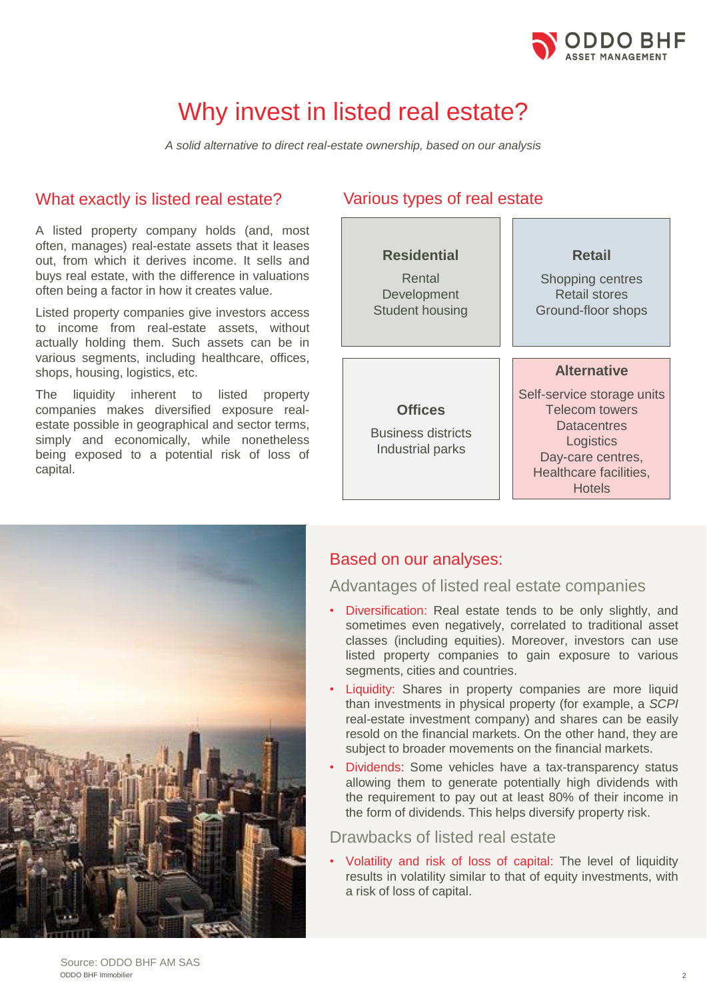

# Why invest in listed real estate?

*A solid alternative to direct real-estate ownership, based on our analysis*

### What exactly is listed real estate? Various types of real estate

A listed property company holds (and, most often, manages) real-estate assets that it leases out, from which it derives income. It sells and buys real estate, with the difference in valuations often being a factor in how it creates value.

Listed property companies give investors access to income from real-estate assets, without actually holding them. Such assets can be in various segments, including healthcare, offices, shops, housing, logistics, etc.

The liquidity inherent to listed property companies makes diversified exposure realestate possible in geographical and sector terms, simply and economically, while nonetheless being exposed to a potential risk of loss of capital.





### Based on our analyses:

### Advantages of listed real estate companies

- Diversification: Real estate tends to be only slightly, and sometimes even negatively, correlated to traditional asset classes (including equities). Moreover, investors can use listed property companies to gain exposure to various segments, cities and countries.
- Liquidity: Shares in property companies are more liquid than investments in physical property (for example, a *SCPI* real-estate investment company) and shares can be easily resold on the financial markets. On the other hand, they are subject to broader movements on the financial markets.
- Dividends: Some vehicles have a tax-transparency status allowing them to generate potentially high dividends with the requirement to pay out at least 80% of their income in the form of dividends. This helps diversify property risk.

### Drawbacks of listed real estate

• Volatility and risk of loss of capital: The level of liquidity results in volatility similar to that of equity investments, with a risk of loss of capital.

ODDO BHF Environmental Opportunities 2 ODDO BHF Immobilier Source: ODDO BHF AM SAS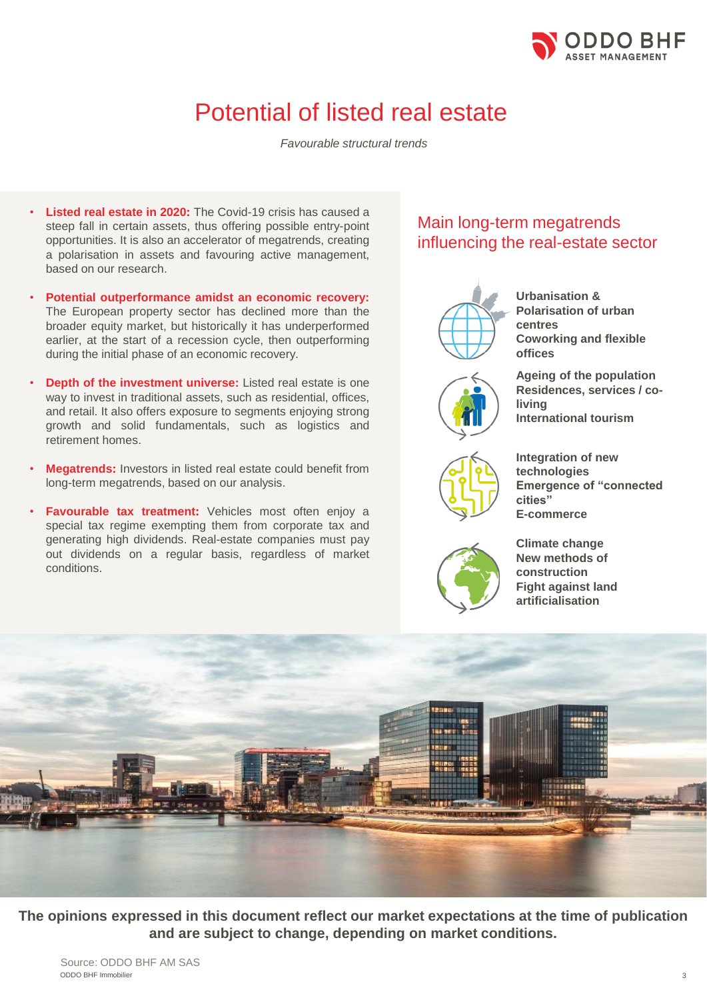

# Potential of listed real estate

*Favourable structural trends*

- **Listed real estate in 2020:** The Covid-19 crisis has caused a steep fall in certain assets, thus offering possible entry-point opportunities. It is also an accelerator of megatrends, creating a polarisation in assets and favouring active management, based on our research.
- **Potential outperformance amidst an economic recovery:** The European property sector has declined more than the broader equity market, but historically it has underperformed earlier, at the start of a recession cycle, then outperforming during the initial phase of an economic recovery.
- **Depth of the investment universe:** Listed real estate is one way to invest in traditional assets, such as residential, offices, and retail. It also offers exposure to segments enjoying strong growth and solid fundamentals, such as logistics and retirement homes.
- **Megatrends:** Investors in listed real estate could benefit from long-term megatrends, based on our analysis.
- **Favourable tax treatment:** Vehicles most often enjoy a special tax regime exempting them from corporate tax and generating high dividends. Real-estate companies must pay out dividends on a regular basis, regardless of market conditions.

### Main long-term megatrends influencing the real-estate sector

**living**



**Urbanisation & Polarisation of urban centres Coworking and flexible offices**

**Ageing of the population Residences, services / co-**

**International tourism**



**Integration of new technologies Emergence of "connected cities"**



**Climate change New methods of construction Fight against land artificialisation**

**E-commerce**



**The opinions expressed in this document reflect our market expectations at the time of publication and are subject to change, depending on market conditions.**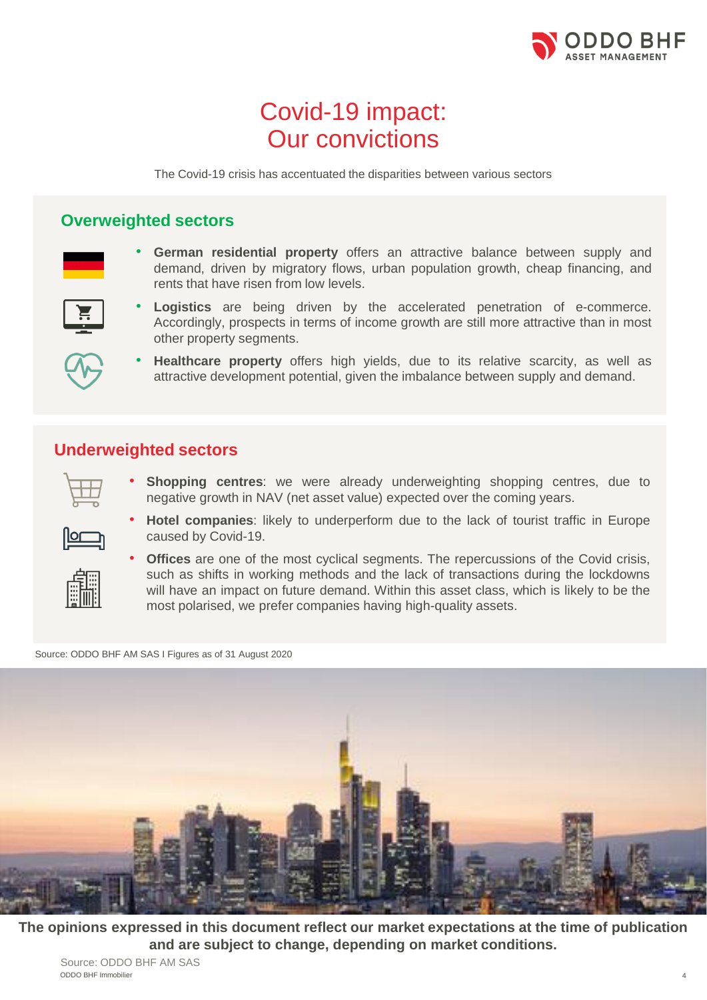

# Covid-19 impact: Our convictions

The Covid-19 crisis has accentuated the disparities between various sectors

### **Overweighted sectors**



• **German residential property** offers an attractive balance between supply and demand, driven by migratory flows, urban population growth, cheap financing, and rents that have risen from low levels.



• **Logistics** are being driven by the accelerated penetration of e-commerce. Accordingly, prospects in terms of income growth are still more attractive than in most other property segments.



• **Healthcare property** offers high yields, due to its relative scarcity, as well as attractive development potential, given the imbalance between supply and demand.

### **Underweighted sectors**



• **Shopping centres**: we were already underweighting shopping centres, due to negative growth in NAV (net asset value) expected over the coming years.



• **Hotel companies**: likely to underperform due to the lack of tourist traffic in Europe caused by Covid-19.



**Offices** are one of the most cyclical segments. The repercussions of the Covid crisis, such as shifts in working methods and the lack of transactions during the lockdowns will have an impact on future demand. Within this asset class, which is likely to be the most polarised, we prefer companies having high-quality assets.

Source: ODDO BHF AM SAS I Figures as of 31 August 2020



**The opinions expressed in this document reflect our market expectations at the time of publication and are subject to change, depending on market conditions.**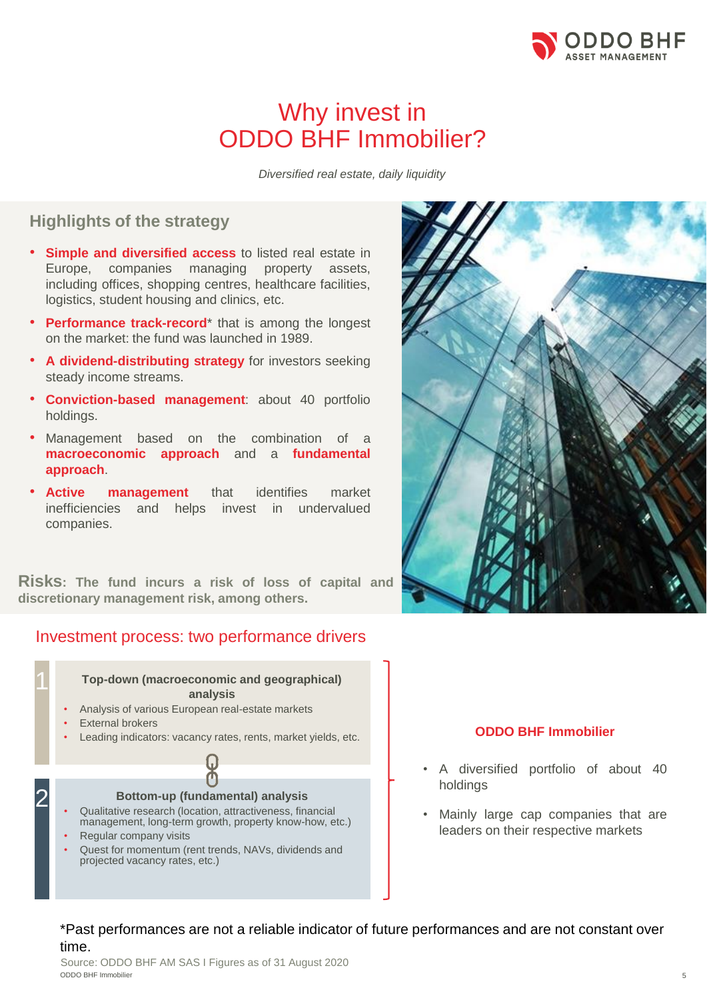

## Why invest in ODDO BHF Immobilier?

*Diversified real estate, daily liquidity*

### **Highlights of the strategy**

- **Simple and diversified access** to listed real estate in Europe, companies managing property assets, including offices, shopping centres, healthcare facilities, logistics, student housing and clinics, etc.
- **Performance track-record**\* that is among the longest on the market: the fund was launched in 1989.
- **A dividend-distributing strategy** for investors seeking steady income streams.
- **Conviction-based management**: about 40 portfolio holdings.
- Management based on the combination of a **macroeconomic approach** and a **fundamental approach**.
- **Active management** that identifies market inefficiencies and helps invest in undervalued companies.

**Risks: The fund incurs a risk of loss of capital and discretionary management risk, among others.**

### Investment process: two performance drivers

1 **Top-down (macroeconomic and geographical) analysis**

- Analysis of various European real-estate markets
- **External brokers**
- Leading indicators: vacancy rates, rents, market yields, etc.





#### **ODDO BHF Immobilier**

- A diversified portfolio of about 40 holdings
- Mainly large cap companies that are leaders on their respective markets

\*Past performances are not a reliable indicator of future performances and are not constant over time.